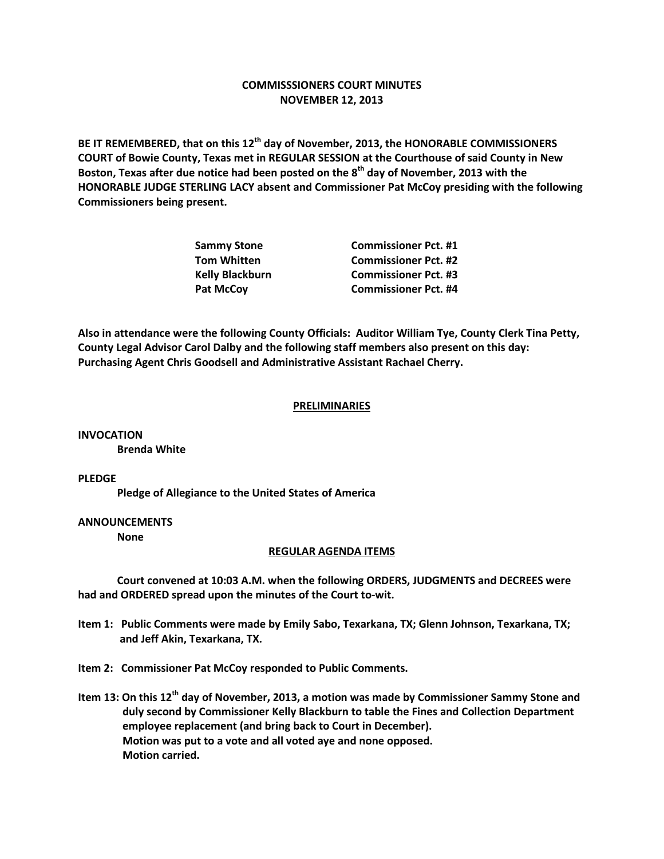## **COMMISSSIONERS COURT MINUTES NOVEMBER 12, 2013**

**BE IT REMEMBERED, that on this 12th day of November, 2013, the HONORABLE COMMISSIONERS COURT of Bowie County, Texas met in REGULAR SESSION at the Courthouse of said County in New Boston, Texas after due notice had been posted on the 8th day of November, 2013 with the HONORABLE JUDGE STERLING LACY absent and Commissioner Pat McCoy presiding with the following Commissioners being present.**

| <b>Sammy Stone</b>     | <b>Commissioner Pct. #1</b> |
|------------------------|-----------------------------|
| <b>Tom Whitten</b>     | <b>Commissioner Pct. #2</b> |
| <b>Kelly Blackburn</b> | <b>Commissioner Pct. #3</b> |
| <b>Pat McCov</b>       | <b>Commissioner Pct. #4</b> |

**Also in attendance were the following County Officials: Auditor William Tye, County Clerk Tina Petty, County Legal Advisor Carol Dalby and the following staff members also present on this day: Purchasing Agent Chris Goodsell and Administrative Assistant Rachael Cherry.**

## **PRELIMINARIES**

**INVOCATION Brenda White**

**PLEDGE**

**Pledge of Allegiance to the United States of America**

## **ANNOUNCEMENTS**

**None**

## **REGULAR AGENDA ITEMS**

**Court convened at 10:03 A.M. when the following ORDERS, JUDGMENTS and DECREES were had and ORDERED spread upon the minutes of the Court to-wit.**

**Item 1: Public Comments were made by Emily Sabo, Texarkana, TX; Glenn Johnson, Texarkana, TX; and Jeff Akin, Texarkana, TX.**

**Item 2: Commissioner Pat McCoy responded to Public Comments.**

**Item 13: On this 12th day of November, 2013, a motion was made by Commissioner Sammy Stone and duly second by Commissioner Kelly Blackburn to table the Fines and Collection Department employee replacement (and bring back to Court in December). Motion was put to a vote and all voted aye and none opposed. Motion carried.**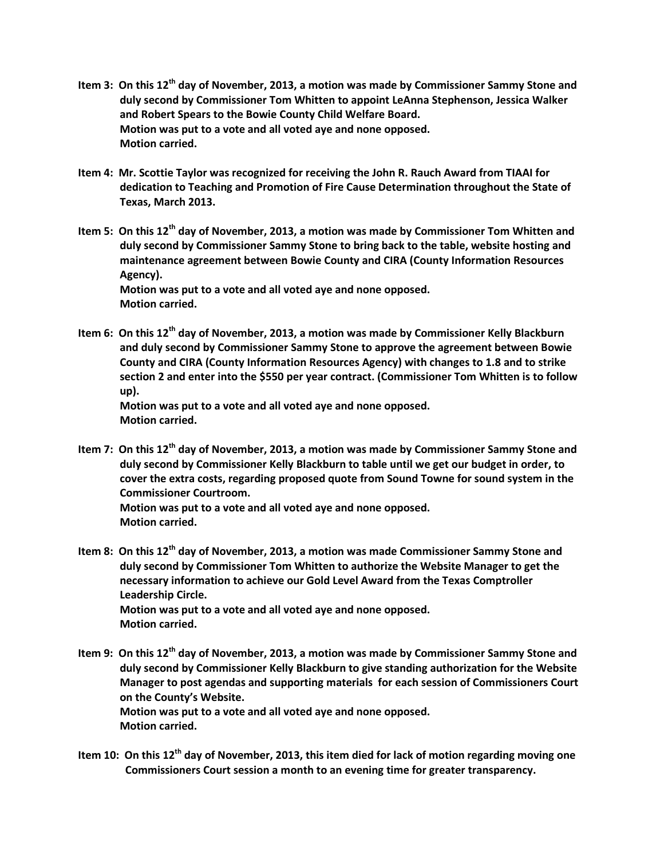- **Item 3: On this 12th day of November, 2013, a motion was made by Commissioner Sammy Stone and duly second by Commissioner Tom Whitten to appoint LeAnna Stephenson, Jessica Walker and Robert Spears to the Bowie County Child Welfare Board. Motion was put to a vote and all voted aye and none opposed. Motion carried.**
- **Item 4: Mr. Scottie Taylor was recognized for receiving the John R. Rauch Award from TIAAI for dedication to Teaching and Promotion of Fire Cause Determination throughout the State of Texas, March 2013.**
- **Item 5: On this 12th day of November, 2013, a motion was made by Commissioner Tom Whitten and duly second by Commissioner Sammy Stone to bring back to the table, website hosting and maintenance agreement between Bowie County and CIRA (County Information Resources Agency). Motion was put to a vote and all voted aye and none opposed.**

**Motion carried.**

**Item 6: On this 12th day of November, 2013, a motion was made by Commissioner Kelly Blackburn and duly second by Commissioner Sammy Stone to approve the agreement between Bowie County and CIRA (County Information Resources Agency) with changes to 1.8 and to strike section 2 and enter into the \$550 per year contract. (Commissioner Tom Whitten is to follow up).**

**Motion was put to a vote and all voted aye and none opposed. Motion carried.**

- **Item 7: On this 12th day of November, 2013, a motion was made by Commissioner Sammy Stone and duly second by Commissioner Kelly Blackburn to table until we get our budget in order, to cover the extra costs, regarding proposed quote from Sound Towne for sound system in the Commissioner Courtroom. Motion was put to a vote and all voted aye and none opposed.**
	- **Motion carried.**
- **Item 8: On this 12th day of November, 2013, a motion was made Commissioner Sammy Stone and duly second by Commissioner Tom Whitten to authorize the Website Manager to get the necessary information to achieve our Gold Level Award from the Texas Comptroller Leadership Circle. Motion was put to a vote and all voted aye and none opposed. Motion carried.**
- **Item 9: On this 12th day of November, 2013, a motion was made by Commissioner Sammy Stone and duly second by Commissioner Kelly Blackburn to give standing authorization for the Website Manager to post agendas and supporting materials for each session of Commissioners Court on the County's Website. Motion was put to a vote and all voted aye and none opposed. Motion carried.**
- **Item 10: On this 12th day of November, 2013, this item died for lack of motion regarding moving one Commissioners Court session a month to an evening time for greater transparency.**